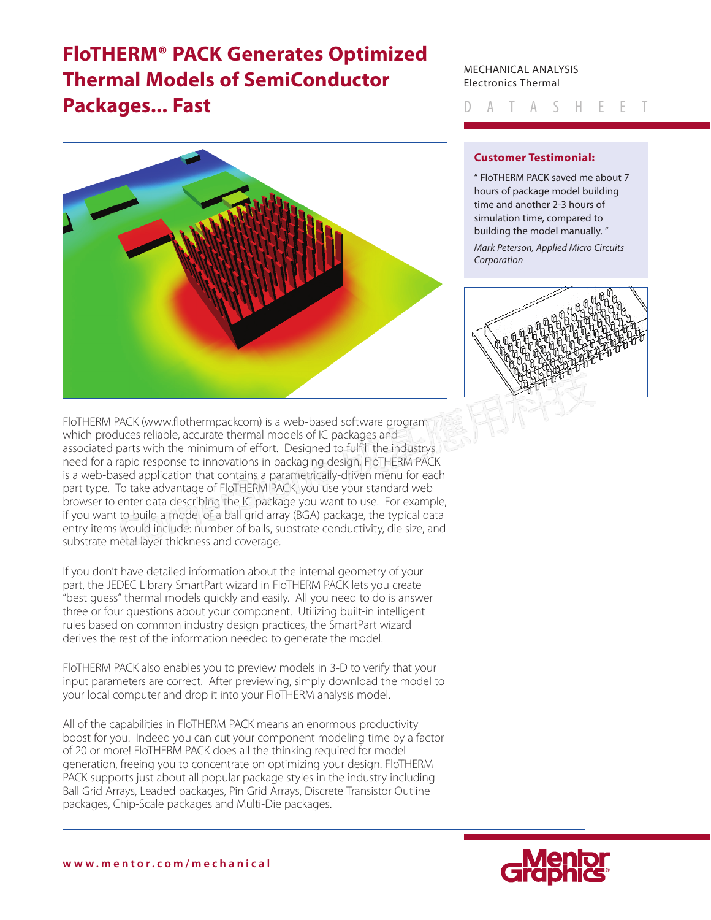# **FloTHERM® PACK Generates Optimized Thermal Models of SemiConductor Packages... Fast**

#### MECHANICAL ANALYSIS Electronics Thermal

Datasheet



## **Customer Testimonial:**

" FloTHERM PACK saved me about 7 hours of package model building time and another 2-3 hours of simulation time, compared to building the model manually. " *Mark Peterson, Applied Micro Circuits Corporation*



FloTHERM PACK (www.flothermpackcom) is a web-based software program which produces reliable, accurate thermal models of IC packages and associated parts with the minimum of effort. Designed to fulfill the industrys need for a rapid response to innovations in packaging design, FloTHERM PACK is a web-based application that contains a parametrically-driven menu for each part type. To take advantage of FloTHERM PACK, you use your standard web [browser to enter data describing the IC package you want to use. For example,](https://corner-stone.com.tw)  if you want to build a model of a ball grid array (BGA) package, the typical data entry items would include: number of balls, substrate conductivity, die size, and substrate metal layer thickness and coverage.

If you don't have detailed information about the internal geometry of your part, the JEDEC Library SmartPart wizard in FloTHERM PACK lets you create "best guess" thermal models quickly and easily. All you need to do is answer three or four questions about your component. Utilizing built-in intelligent rules based on common industry design practices, the SmartPart wizard derives the rest of the information needed to generate the model.

FloTHERM PACK also enables you to preview models in 3-D to verify that your input parameters are correct. After previewing, simply download the model to your local computer and drop it into your FloTHERM analysis model.

All of the capabilities in FloTHERM PACK means an enormous productivity boost for you. Indeed you can cut your component modeling time by a factor of 20 or more! FloTHERM PACK does all the thinking required for model generation, freeing you to concentrate on optimizing your design. FloTHERM PACK supports just about all popular package styles in the industry including Ball Grid Arrays, Leaded packages, Pin Grid Arrays, Discrete Transistor Outline packages, Chip-Scale packages and Multi-Die packages.